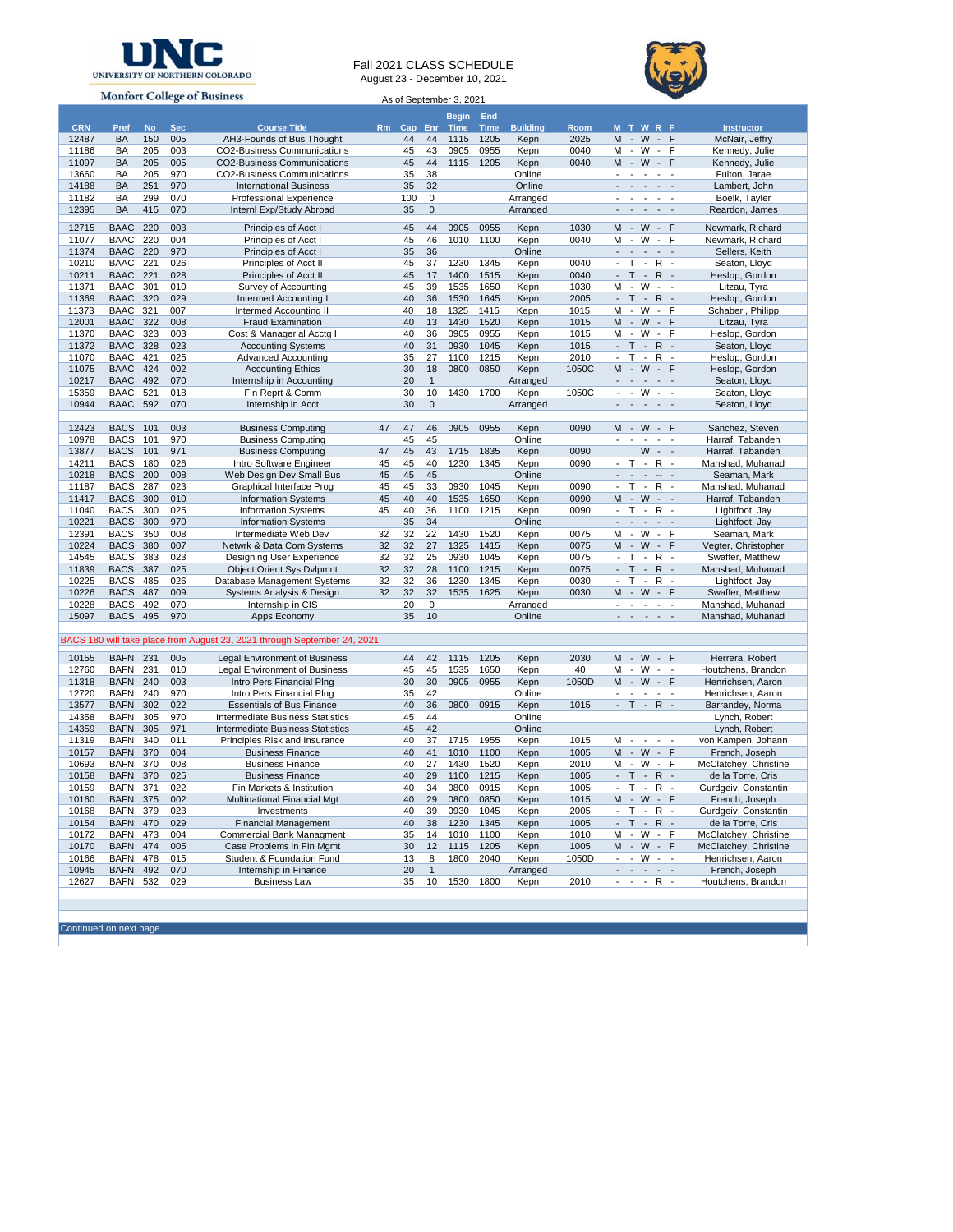

## Fall 2021 CLASS SCHEDULE August 23 - December 10, 2021



**Monfort College of Business** As of September 3, 2021**Begin Time End CRN Pref No Sec Course Title Rm Cap Enr Time Building Room M T W R F Instructor** 12487 BA 150 005 AH3-Founds of Bus Thought 44 44 1115 1205 Kepn 2025 M - W - F McNair, Jeffry  $1002$ -Business Communications 11097 BA 205 005 CO2-Business Communications 45 44 1115 1205 Kepn 0040 M - W - F Kennedy, Julie 13660 BA 205 970 CO2-Business Communications 35 38 Online - - - - - Fulton, Jarae<br>14188 BA 251 970 International Business 35 32 Online - - - - Lambert, John 14188 BA 251 970 International Business 35 32 Online - - - - Lambert, John<br>11182 BA 299 070 Professional Experience 100 0 Arranged - - - - Boelk, Tayler Professional Experience 100 0 Arranged - - - -12395 BA 415 070 Internl Exp/Study Abroad 35 0 Arranged - - - - - Reardon, James 12715 BAAC 220 003 Principles of Acct I 45 44 0905 0955 Kepn 1030 M - W - F Newmark, Richard 11077 BAAC 220 004 Principles of Acct I 45 46 1010 1100 Kepn 0040 M - W - F Newmark, Richard 11374 BAAC 220 970 Principles of Acct 1 35 36 Online - - - - - - Sellers, Keith<br>10210 BAAC 221 026 Principles of Acct II 45 37 1230 1345 Kepn 0040 - T - R - Seaton, Lloyd<br>10211 BAAC 221 028 Principles of Acct II 45 17 1400 10210 BAAC 221 026 Principles of Acct II 45 37 1230 1345 Kepn 0040 - T - R - Seaton, Lloyd 10211 BAAC 221 028 Principles of Acct II 45 17 1400 1515 Kepn 0040 - T - R - Heslop, Gordon 11371 BAAC 301 010 Survey of Accounting 1535 1650 Kepn 1030 M - W - - Litzau, Tyra<br>11369 BAAC 320 029 Intermed Accounting 1645 1530 1645 Kepn 2005 - T - R - Heslop, Gordon 11369 Intermed Accounting I 40 36 1530 1645 Kepn 2005 - T - R - Heslop, Gordon<br>1136 Intermed Accounting II 40 18 1325 1415 Kepn 1015 M - W - F Schaberl, Philipp 11373 BAAC 321 007 Intermed Accounting II 40 18 1325 1415 Kepn 1015 M - W - F 12001 BAAC 322 008 Fraud Examination 40 13 1430 1520 Kepn 1015 M - W - F Litzau, Tyra 11370 BAAC 323 003 Cost & Managerial Acctg I 40 36 0905 0955 Kepn 1015 M - W - F Heslop, Gordon<br>11372 BAAC 328 023 Accounting Systems 40 31 0930 1045 Kepn 1015 - T - R - Seaton, Lloyd 11372 BAAC 328 023 Accounting Systems 40 31 0930 1045 Kepn 1015 - T - R - Seaton, Lloyd<br>11070 BAAC 421 025 Advanced Accounting 35 27 1100 1215 Kepn 2010 - T - R - Heslop, Gordon 11070 BAAC 421 025 Advanced Accounting 35 27 1100 1215 Kepn 2010 - T - R -<br>11075 BAAC 424 002 Accounting Ethics 30 18 0800 0850 Kepn 1050C M - W - F 11075 BAAC 424 002 Accounting Ethics 30 18 0800 0850 Kepn 1050C M - W - F Heslop, Gordon 10217 BAAC 492 070 Internship in Accounting 20 1 Arranged - - - - - Seaton, Lloyd 15359 BAAC 521 018 Fin Reprt & Comm 30 10 1430 1700 Kepn 1050C - - W - - Seaton, Lloyd<br>10944 BAAC 592 070 Internship in Acct 30 0 30 Arranged - - - - - Seaton, Lloyd 10944 BAAC 592 070 Internship in Acct 30 0 Arranged - - - - - - Seaton, Lloyd 12423 BACS 101 003 Business Computing 47 47 46 0905 0955 Kepn 0090 M - W - F Sanchez, Steven 10978 BACS 101 970 Business Computing 1997 45 45 1998 Conline 11887 BACS 101 971 Business Computing 1997 47 45 43 1715 1835 Kepn 0090 W - - Harraf, Tabandeh 1387 Business Computing 147 45 43 1715 1835 Kepn 0090 W - - Harraf, Tabandeh<br>htro Software Engineer 145 45 40 1230 1345 Kepn 0090 - T - R - Manshad, Muhanad 14211 BACS 180 026 Intro Software Engineer 45 45 40 1230 1345 Kepn 0090 -10218 BACS 200 008 Web Design Dev Small Bus 45 45 45 Online - - - -- - Seaman, Mark 11187 BACS 287 023 Graphical Interface Prog 45 45 33 0930 1045 Kepn 0090 - T - R - Manshad, Muhanad 11417 BACS 300 010 Information Systems 45 40 40 1535 1650 Kepn 0090 M - W - - Harraf, Tabandeh 11040 BACS 300 025 Information Systems 45 40 36 1100 1215 Kepn 0090 - T - R - Lightfoot, Jay 10221 BACS 300 970 Information Systems 35 34 Online - - - - - Lightfoot, Jay 12391 BACS 350 008 Intermediate Web Dev 32 32 22 1430 1520 Kepn 0075 M - W - F Seaman, Mark 10224 BACS 380 007 Netwrk & Data Com Systems 32 32 27 1325 1415 Kepn 0075 M - W - F Vegter, Christopher 023 Designing User Experience 32 32 25 0930 1045 Kepn 0075 - T 11839 BACS 387 025 Object Orient Sys Dvlpmnt 32 32 28 1100 1215 Kepn 0075 - T - R - Manshad, Muhanad 10225 BACS 485 026 Database Management Systems 32 32 36 1230 1345 Kepn 0030 - T - R -<br>10226 BACS 487 009 Systems Analysis & Design 32 32 32 1535 1625 Kepn 0030 M - W - F 10226 BACS 487 009 Systems Analysis & Design 32 32 32 1535 1625 Kepn 0030 M - W - F Swaffer, Matthew 10228 BACS 492 070 Internship in CIS 100 20 0 Arranged 10228 BACS 492 0 Amshad, Muhanad 15097 BACS 495 970 Apps Economy 35 10 Online - - - - Manshad, Muhanad BACS 180 will take place from August 23, 2021 through September 24, 2021 10155 BAFN 231 005 Legal Environment of Business 44 42 1115 1205 Kepn 2030 M - W - F Herrera, Robert<br>12760 BAFN 231 010 Legal Environment of Business 45 45 1535 1650 Kepn 40 M - W - Houtchens, Brando 12760 BAFN 231 010 Legal Environment of Business 45 45 1535 1650 Kepn 40 M - W - - Houtchens, Brandon<br>11318 BAFN 240 003 Intro Pers Financial Plng 30 30 0905 0955 Kepn 1050D M - W - F Henrichsen, Aaron 1131 BAFN 240 003 Intro Pers Financial Plng 30 30<br>130 BAFN 240 970 Intro Pers Financial Plng 35 42 12720 BAFN 240 970 Intro Pers Financial Plng 35 42 Online - - - - - Henrichsen, Aaron<br>13577 BAFN 302 022 Essentials of Bus Finance 36 0800 0915 Kepn 1015 - T - R - Barrandey, Norma 13577 BAFN 302 022 Essentials of Bus Finance 40 36 0800 0915 Kepn 1015 - T - R - Barrandey, Norma 14358 BAFN 305 970 Intermediate Business Statistics 45 44 Online Lynch, Robert 14359 BAFN 305 971 Intermediate Business Statistics 45 42 Online Lynch, Robert 11319 BAFN 340 011 Principles Risk and Insurance 40 37 1715 1955 Kepn 1015 M - - - - von Kampen, Johann 10157 BAFN 370 004 Business Finance 40 41 1010 1100 Kepn 1005 M - W - F French, Joseph 10693 BAFN 370 008 Business Finance 40 27 1430 1520 Kepn 2010 M - W - F McClatchey, Christine 10158 BAFN 370 025 Business Finance 101 29 1100 1215 Kepn 1005 - T - R<br>10159 BAFN 371 022 Fin Markets & Institution 100 40 34 0800 0915 Kepn 1005 - T - R 022 Fin Markets & Institution 40 34 0800 0915 Kepn 1005 - T - R - Gurdgeiv, Constantin 10160 BAFN 375 002 Multinational Financial Mgt 40 29 0800 0850 Kepn 1015 M - W - F French, Joseph<br>10168 BAFN 379 023 Multinational Financial Management 40 39 0930 1045 Kepn 2005 - T - R - Gurdgeiv, Constant<br>10154 BAFN 470 10168 BAFN 379 023 Investments 40 39 0930 1045 Kepn 2005 - T - R - Gurdgeiv, Constantin 10154 BAFN 470 029 Financial Management 1998 1230 1345 Kepn 1005 - T - R - de la Torre, Cris<br>10172 BAFN 473 004 Commercial Bank Managment 1995 14 1010 1100 Kepn 1010 M - W - F McClatchey, Christi 10172 BAFN 473 004 Commercial Bank Managment 35 14 1010 1100 Kepn 1010 M - W - F McClatchey, Christine Case Problems in Fin Mgmt 10166 BAFN 478 015 Student & Foundation Fund 13 8 1800 2040 Kepn 1050D - - W - - Henrichsen, Aaron 10945 BAFN 492 070 Internship in Finance 20 1 Arranged - - - - - French, Joseph 12627 BAFN 532 029 Business Law 35 10 1530 1800 Kepn 2010 - - - R - Houtchens, Brandon

Continued on next page.